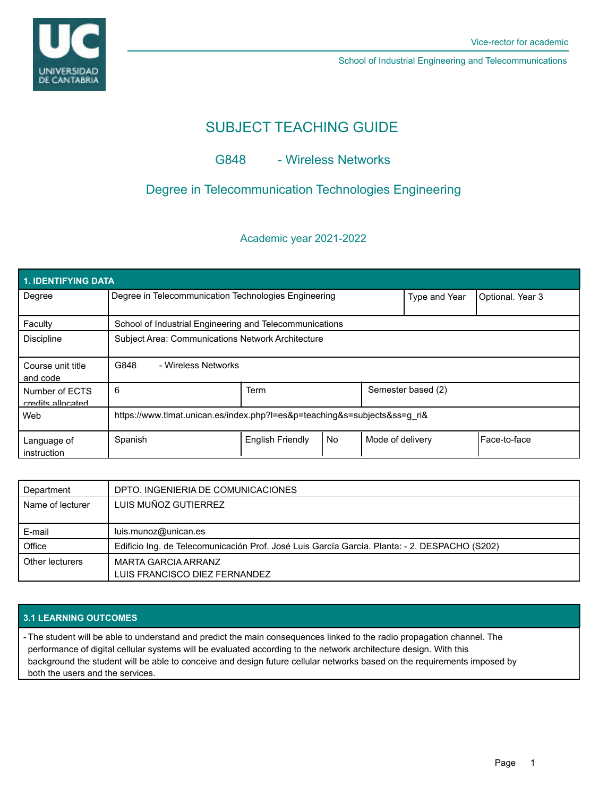

School of Industrial Engineering and Telecommunications

# SUBJECT TEACHING GUIDE

## G848 - Wireless Networks

# Degree in Telecommunication Technologies Engineering

### Academic year 2021-2022

| <b>1. IDENTIFYING DATA</b>          |                                                                           |                         |    |                  |                    |              |  |  |  |
|-------------------------------------|---------------------------------------------------------------------------|-------------------------|----|------------------|--------------------|--------------|--|--|--|
| Degree                              | Degree in Telecommunication Technologies Engineering                      |                         |    | Type and Year    | Optional. Year 3   |              |  |  |  |
| Faculty                             | School of Industrial Engineering and Telecommunications                   |                         |    |                  |                    |              |  |  |  |
| <b>Discipline</b>                   | Subject Area: Communications Network Architecture                         |                         |    |                  |                    |              |  |  |  |
| Course unit title<br>and code       | G848<br>- Wireless Networks                                               |                         |    |                  |                    |              |  |  |  |
| Number of ECTS<br>credits allocated | 6                                                                         | <b>Term</b>             |    |                  | Semester based (2) |              |  |  |  |
| Web                                 | https://www.tlmat.unican.es/index.php?l=es&p=teaching&s=subjects&ss=g_ri& |                         |    |                  |                    |              |  |  |  |
| Language of<br>instruction          | Spanish                                                                   | <b>English Friendly</b> | No | Mode of delivery |                    | Face-to-face |  |  |  |

| Department       | DPTO. INGENIERIA DE COMUNICACIONES                                                            |
|------------------|-----------------------------------------------------------------------------------------------|
| Name of lecturer | LUIS MUÑOZ GUTIERREZ                                                                          |
|                  | luis.munoz@unican.es                                                                          |
| E-mail           |                                                                                               |
| Office           | Edificio Ing. de Telecomunicación Prof. José Luis García García. Planta: - 2. DESPACHO (S202) |
| Other lecturers  | MARTA GARCIA ARRANZ                                                                           |
|                  | LUIS FRANCISCO DIEZ FERNANDEZ                                                                 |

### **3.1 LEARNING OUTCOMES**

- The student will be able to understand and predict the main consequences linked to the radio propagation channel. The performance of digital cellular systems will be evaluated according to the network architecture design. With this background the student will be able to conceive and design future cellular networks based on the requirements imposed by both the users and the services.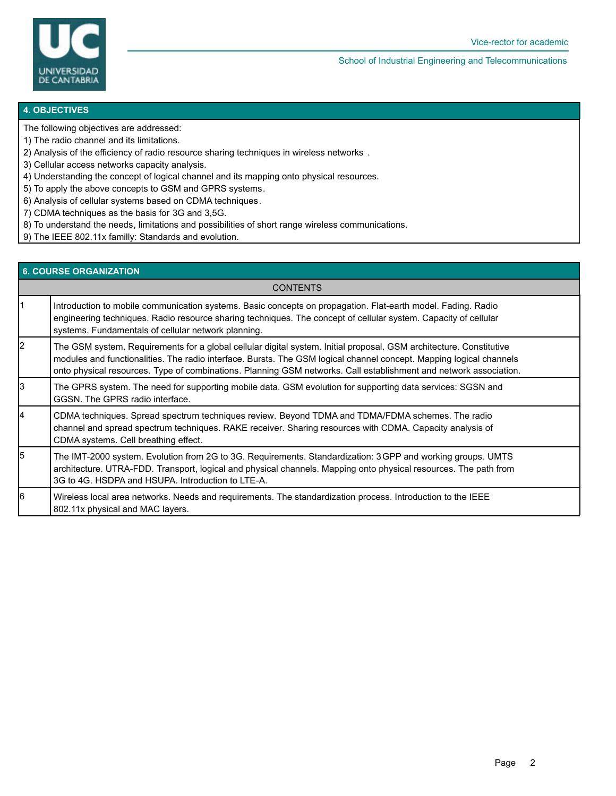

School of Industrial Engineering and Telecommunications

#### **4. OBJECTIVES**

- The following objectives are addressed:
- 1) The radio channel and its limitations.
- 2) Analysis of the efficiency of radio resource sharing techniques in wireless networks .
- 3) Cellular access networks capacity analysis.
- 4) Understanding the concept of logical channel and its mapping onto physical resources.
- 5) To apply the above concepts to GSM and GPRS systems.
- 6) Analysis of cellular systems based on CDMA techniques.
- 7) CDMA techniques as the basis for 3G and 3,5G.
- 8) To understand the needs, limitations and possibilities of short range wireless communications.
- 9) The IEEE 802.11x familly: Standards and evolution.

# **6. COURSE ORGANIZATION**

**CONTENTS** 

| 11 | Introduction to mobile communication systems. Basic concepts on propagation. Flat-earth model. Fading. Radio<br>engineering techniques. Radio resource sharing techniques. The concept of cellular system. Capacity of cellular<br>systems. Fundamentals of cellular network planning.                                                                          |
|----|-----------------------------------------------------------------------------------------------------------------------------------------------------------------------------------------------------------------------------------------------------------------------------------------------------------------------------------------------------------------|
| l2 | The GSM system. Requirements for a global cellular digital system. Initial proposal. GSM architecture. Constitutive<br>modules and functionalities. The radio interface. Bursts. The GSM logical channel concept. Mapping logical channels<br>onto physical resources. Type of combinations. Planning GSM networks. Call establishment and network association. |
| l3 | The GPRS system. The need for supporting mobile data. GSM evolution for supporting data services: SGSN and<br>GGSN. The GPRS radio interface.                                                                                                                                                                                                                   |
| 14 | CDMA techniques. Spread spectrum techniques review. Beyond TDMA and TDMA/FDMA schemes. The radio<br>channel and spread spectrum techniques. RAKE receiver. Sharing resources with CDMA. Capacity analysis of<br>CDMA systems. Cell breathing effect.                                                                                                            |
| l5 | The IMT-2000 system. Evolution from 2G to 3G. Requirements. Standardization: 3 GPP and working groups. UMTS<br>architecture. UTRA-FDD. Transport, logical and physical channels. Mapping onto physical resources. The path from<br>3G to 4G. HSDPA and HSUPA. Introduction to LTE-A.                                                                            |
| l6 | Wireless local area networks. Needs and requirements. The standardization process. Introduction to the IEEE<br>802.11x physical and MAC layers.                                                                                                                                                                                                                 |